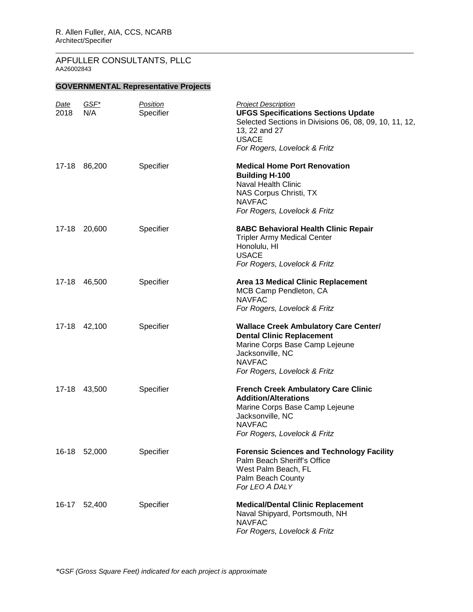# **GOVERNMENTAL Representative Projects**

| <u>Date</u><br>2018 | GSF*<br>N/A | Position<br>Specifier | <b>Project Description</b><br><b>UFGS Specifications Sections Update</b><br>Selected Sections in Divisions 06, 08, 09, 10, 11, 12,<br>13, 22 and 27<br><b>USACE</b><br>For Rogers, Lovelock & Fritz |
|---------------------|-------------|-----------------------|-----------------------------------------------------------------------------------------------------------------------------------------------------------------------------------------------------|
| 17-18               | 86,200      | Specifier             | <b>Medical Home Port Renovation</b><br><b>Building H-100</b><br><b>Naval Health Clinic</b><br>NAS Corpus Christi, TX<br><b>NAVFAC</b><br>For Rogers, Lovelock & Fritz                               |
| 17-18               | 20,600      | Specifier             | <b>8ABC Behavioral Health Clinic Repair</b><br><b>Tripler Army Medical Center</b><br>Honolulu, HI<br><b>USACE</b><br>For Rogers, Lovelock & Fritz                                                   |
| 17-18               | 46,500      | Specifier             | Area 13 Medical Clinic Replacement<br>MCB Camp Pendleton, CA<br><b>NAVFAC</b><br>For Rogers, Lovelock & Fritz                                                                                       |
| $17 - 18$           | 42,100      | Specifier             | <b>Wallace Creek Ambulatory Care Center/</b><br><b>Dental Clinic Replacement</b><br>Marine Corps Base Camp Lejeune<br>Jacksonville, NC<br><b>NAVFAC</b><br>For Rogers, Lovelock & Fritz             |
| 17-18               | 43,500      | Specifier             | <b>French Creek Ambulatory Care Clinic</b><br><b>Addition/Alterations</b><br>Marine Corps Base Camp Lejeune<br>Jacksonville, NC<br><b>NAVFAC</b><br>For Rogers, Lovelock & Fritz                    |
| $16 - 18$           | 52,000      | Specifier             | <b>Forensic Sciences and Technology Facility</b><br>Palm Beach Sheriff's Office<br>West Palm Beach, FL<br>Palm Beach County<br>For LEO A DALY                                                       |
| 16-17               | 52,400      | Specifier             | <b>Medical/Dental Clinic Replacement</b><br>Naval Shipyard, Portsmouth, NH<br><b>NAVFAC</b><br>For Rogers, Lovelock & Fritz                                                                         |

\_\_\_\_\_\_\_\_\_\_\_\_\_\_\_\_\_\_\_\_\_\_\_\_\_\_\_\_\_\_\_\_\_\_\_\_\_\_\_\_\_\_\_\_\_\_\_\_\_\_\_\_\_\_\_\_\_\_\_\_\_\_\_\_\_\_\_\_\_\_\_\_\_\_\_\_\_\_\_\_\_\_\_\_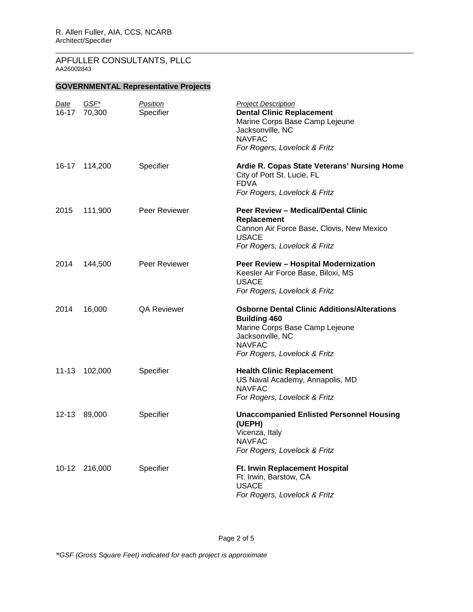# **GOVERNMENTAL Representative Projects**

| <u>Date</u><br>16-17 | GSF*<br>70,300 | Position<br>Specifier | <b>Project Description</b><br><b>Dental Clinic Replacement</b><br>Marine Corps Base Camp Lejeune<br>Jacksonville, NC<br><b>NAVFAC</b><br>For Rogers, Lovelock & Fritz            |
|----------------------|----------------|-----------------------|----------------------------------------------------------------------------------------------------------------------------------------------------------------------------------|
| 16-17                | 114,200        | Specifier             | Ardie R. Copas State Veterans' Nursing Home<br>City of Port St. Lucie, FL<br><b>FDVA</b><br>For Rogers, Lovelock & Fritz                                                         |
| 2015                 | 111,900        | Peer Reviewer         | Peer Review - Medical/Dental Clinic<br>Replacement<br>Cannon Air Force Base, Clovis, New Mexico<br><b>USACE</b><br>For Rogers, Lovelock & Fritz                                  |
| 2014                 | 144,500        | Peer Reviewer         | Peer Review - Hospital Modernization<br>Keesler Air Force Base, Biloxi, MS<br><b>USACE</b><br>For Rogers, Lovelock & Fritz                                                       |
| 2014                 | 16,000         | <b>QA Reviewer</b>    | <b>Osborne Dental Clinic Additions/Alterations</b><br><b>Building 460</b><br>Marine Corps Base Camp Lejeune<br>Jacksonville, NC<br><b>NAVFAC</b><br>For Rogers, Lovelock & Fritz |
| 11-13                | 102,000        | Specifier             | <b>Health Clinic Replacement</b><br>US Naval Academy, Annapolis, MD<br><b>NAVFAC</b><br>For Rogers, Lovelock & Fritz                                                             |
| 12-13                | 89,000         | Specifier             | <b>Unaccompanied Enlisted Personnel Housing</b><br>(UEPH)<br>Vicenza, Italy<br><b>NAVFAC</b><br>For Rogers, Lovelock & Fritz                                                     |
| 10-12                | 216,000        | Specifier             | Ft. Irwin Replacement Hospital<br>Ft. Irwin, Barstow, CA<br><b>USACE</b><br>For Rogers, Lovelock & Fritz                                                                         |

\_\_\_\_\_\_\_\_\_\_\_\_\_\_\_\_\_\_\_\_\_\_\_\_\_\_\_\_\_\_\_\_\_\_\_\_\_\_\_\_\_\_\_\_\_\_\_\_\_\_\_\_\_\_\_\_\_\_\_\_\_\_\_\_\_\_\_\_\_\_\_\_\_\_\_\_\_\_\_\_\_\_\_\_

Page 2 of 5

*\*GSF (Gross Square Feet) indicated for each project is approximate*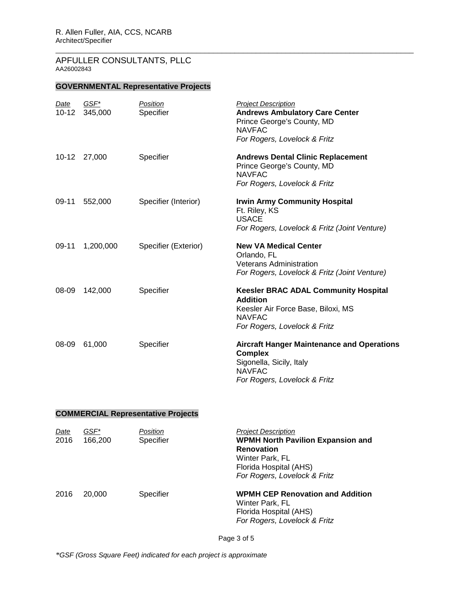## **GOVERNMENTAL Representative Projects**

| Date<br>$10 - 12$ | GSF*<br>345,000 | Position<br>Specifier | <b>Project Description</b><br><b>Andrews Ambulatory Care Center</b><br>Prince George's County, MD<br><b>NAVFAC</b><br>For Rogers, Lovelock & Fritz    |
|-------------------|-----------------|-----------------------|-------------------------------------------------------------------------------------------------------------------------------------------------------|
| $10 - 12$         | 27,000          | Specifier             | <b>Andrews Dental Clinic Replacement</b><br>Prince George's County, MD<br><b>NAVFAC</b><br>For Rogers, Lovelock & Fritz                               |
| $09-11$           | 552,000         | Specifier (Interior)  | <b>Irwin Army Community Hospital</b><br>Ft. Riley, KS<br><b>USACE</b><br>For Rogers, Lovelock & Fritz (Joint Venture)                                 |
| $09-11$           | 1,200,000       | Specifier (Exterior)  | <b>New VA Medical Center</b><br>Orlando, FL<br><b>Veterans Administration</b><br>For Rogers, Lovelock & Fritz (Joint Venture)                         |
| 08-09             | 142,000         | Specifier             | <b>Keesler BRAC ADAL Community Hospital</b><br><b>Addition</b><br>Keesler Air Force Base, Biloxi, MS<br><b>NAVFAC</b><br>For Rogers, Lovelock & Fritz |
| 08-09             | 61,000          | Specifier             | <b>Aircraft Hanger Maintenance and Operations</b><br><b>Complex</b><br>Sigonella, Sicily, Italy<br><b>NAVFAC</b><br>For Rogers, Lovelock & Fritz      |

\_\_\_\_\_\_\_\_\_\_\_\_\_\_\_\_\_\_\_\_\_\_\_\_\_\_\_\_\_\_\_\_\_\_\_\_\_\_\_\_\_\_\_\_\_\_\_\_\_\_\_\_\_\_\_\_\_\_\_\_\_\_\_\_\_\_\_\_\_\_\_\_\_\_\_\_\_\_\_\_\_\_\_\_

## **COMMERCIAL Representative Projects**

| Date<br>2016 | GSF*<br>166,200 | Position<br>Specifier | <b>Project Description</b><br><b>WPMH North Pavilion Expansion and</b><br><b>Renovation</b><br>Winter Park, FL<br>Florida Hospital (AHS)<br>For Rogers, Lovelock & Fritz |
|--------------|-----------------|-----------------------|--------------------------------------------------------------------------------------------------------------------------------------------------------------------------|
| 2016         | 20,000          | Specifier             | <b>WPMH CEP Renovation and Addition</b><br>Winter Park, FL<br>Florida Hospital (AHS)<br>For Rogers, Lovelock & Fritz                                                     |

Page 3 of 5

*\*GSF (Gross Square Feet) indicated for each project is approximate*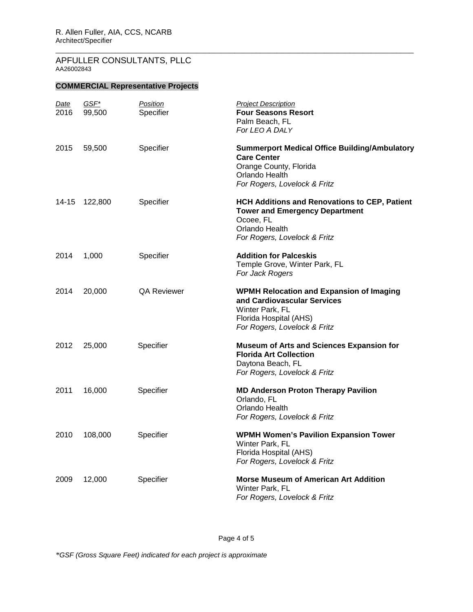## **COMMERCIAL Representative Projects**

| <u>Date</u><br>2016 | $GSF^*$<br>99,500 | Position<br>Specifier | <b>Project Description</b><br><b>Four Seasons Resort</b><br>Palm Beach, FL<br>For LEO A DALY                                                                |
|---------------------|-------------------|-----------------------|-------------------------------------------------------------------------------------------------------------------------------------------------------------|
| 2015                | 59,500            | Specifier             | <b>Summerport Medical Office Building/Ambulatory</b><br><b>Care Center</b><br>Orange County, Florida<br>Orlando Health<br>For Rogers, Lovelock & Fritz      |
| 14-15               | 122,800           | Specifier             | HCH Additions and Renovations to CEP, Patient<br><b>Tower and Emergency Department</b><br>Ocoee, FL<br>Orlando Health<br>For Rogers, Lovelock & Fritz       |
| 2014                | 1,000             | Specifier             | <b>Addition for Palceskis</b><br>Temple Grove, Winter Park, FL<br>For Jack Rogers                                                                           |
| 2014                | 20,000            | <b>QA Reviewer</b>    | <b>WPMH Relocation and Expansion of Imaging</b><br>and Cardiovascular Services<br>Winter Park, FL<br>Florida Hospital (AHS)<br>For Rogers, Lovelock & Fritz |
| 2012                | 25,000            | Specifier             | <b>Museum of Arts and Sciences Expansion for</b><br><b>Florida Art Collection</b><br>Daytona Beach, FL<br>For Rogers, Lovelock & Fritz                      |
| 2011                | 16,000            | Specifier             | <b>MD Anderson Proton Therapy Pavilion</b><br>Orlando, FL<br>Orlando Health<br>For Rogers, Lovelock & Fritz                                                 |
| 2010                | 108,000           | Specifier             | <b>WPMH Women's Pavilion Expansion Tower</b><br>Winter Park, FL<br>Florida Hospital (AHS)<br>For Rogers, Lovelock & Fritz                                   |
| 2009                | 12,000            | Specifier             | <b>Morse Museum of American Art Addition</b><br>Winter Park, FL<br>For Rogers, Lovelock & Fritz                                                             |

\_\_\_\_\_\_\_\_\_\_\_\_\_\_\_\_\_\_\_\_\_\_\_\_\_\_\_\_\_\_\_\_\_\_\_\_\_\_\_\_\_\_\_\_\_\_\_\_\_\_\_\_\_\_\_\_\_\_\_\_\_\_\_\_\_\_\_\_\_\_\_\_\_\_\_\_\_\_\_\_\_\_\_\_

Page 4 of 5

*\*GSF (Gross Square Feet) indicated for each project is approximate*